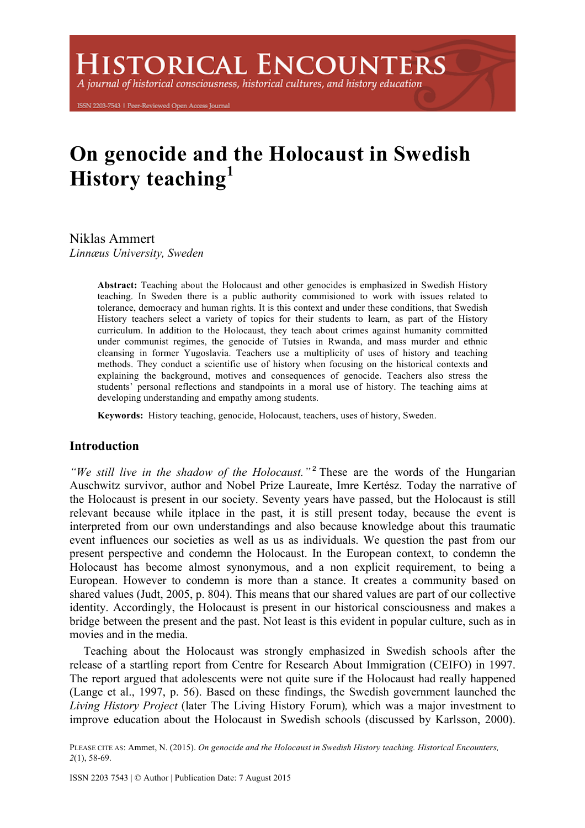A journal of historical consciousness, historical cultures, and history education

ISSN 2203-7543 | Peer-Reviewed Open Access Journal

# **On genocide and the Holocaust in Swedish History teaching<sup>1</sup>**

Niklas Ammert *Linnæus University, Sweden*

> **Abstract:** Teaching about the Holocaust and other genocides is emphasized in Swedish History teaching. In Sweden there is a public authority commisioned to work with issues related to tolerance, democracy and human rights. It is this context and under these conditions, that Swedish History teachers select a variety of topics for their students to learn, as part of the History curriculum. In addition to the Holocaust, they teach about crimes against humanity committed under communist regimes, the genocide of Tutsies in Rwanda, and mass murder and ethnic cleansing in former Yugoslavia. Teachers use a multiplicity of uses of history and teaching methods. They conduct a scientific use of history when focusing on the historical contexts and explaining the background, motives and consequences of genocide. Teachers also stress the students' personal reflections and standpoints in a moral use of history. The teaching aims at developing understanding and empathy among students.

**Keywords:** History teaching, genocide, Holocaust, teachers, uses of history, Sweden.

# **Introduction**

*"We still live in the shadow of the Holocaust."*<sup>2</sup> These are the words of the Hungarian Auschwitz survivor, author and Nobel Prize Laureate, Imre Kertész. Today the narrative of the Holocaust is present in our society. Seventy years have passed, but the Holocaust is still relevant because while itplace in the past, it is still present today, because the event is interpreted from our own understandings and also because knowledge about this traumatic event influences our societies as well as us as individuals. We question the past from our present perspective and condemn the Holocaust. In the European context, to condemn the Holocaust has become almost synonymous, and a non explicit requirement, to being a European. However to condemn is more than a stance. It creates a community based on shared values (Judt, 2005, p. 804). This means that our shared values are part of our collective identity. Accordingly, the Holocaust is present in our historical consciousness and makes a bridge between the present and the past. Not least is this evident in popular culture, such as in movies and in the media.

Teaching about the Holocaust was strongly emphasized in Swedish schools after the release of a startling report from Centre for Research About Immigration (CEIFO) in 1997. The report argued that adolescents were not quite sure if the Holocaust had really happened (Lange et al., 1997, p. 56). Based on these findings, the Swedish government launched the *Living History Project* (later The Living History Forum)*,* which was a major investment to improve education about the Holocaust in Swedish schools (discussed by Karlsson, 2000).

PLEASE CITE AS: Ammet, N. (2015). *On genocide and the Holocaust in Swedish History teaching. Historical Encounters, 2*(1), 58-69.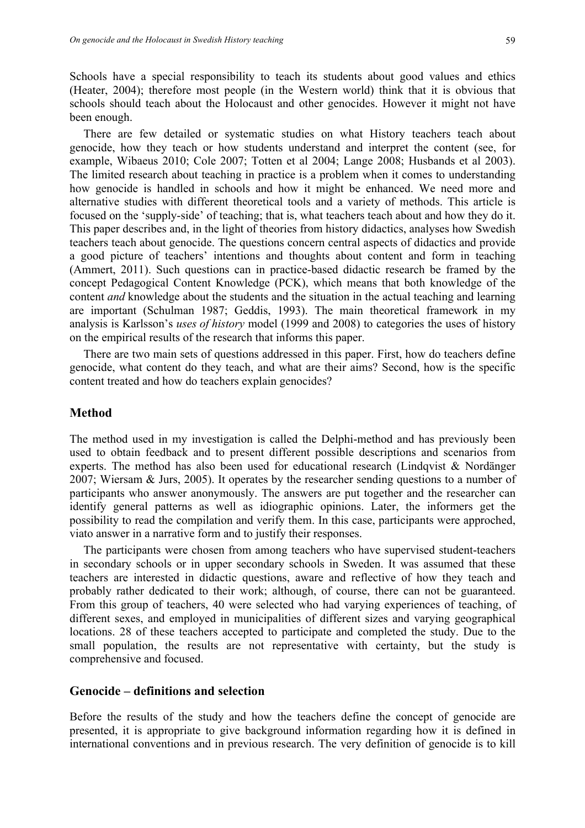Schools have a special responsibility to teach its students about good values and ethics (Heater, 2004); therefore most people (in the Western world) think that it is obvious that schools should teach about the Holocaust and other genocides. However it might not have been enough.

There are few detailed or systematic studies on what History teachers teach about genocide, how they teach or how students understand and interpret the content (see, for example, Wibaeus 2010; Cole 2007; Totten et al 2004; Lange 2008; Husbands et al 2003). The limited research about teaching in practice is a problem when it comes to understanding how genocide is handled in schools and how it might be enhanced. We need more and alternative studies with different theoretical tools and a variety of methods. This article is focused on the 'supply-side' of teaching; that is, what teachers teach about and how they do it. This paper describes and, in the light of theories from history didactics, analyses how Swedish teachers teach about genocide. The questions concern central aspects of didactics and provide a good picture of teachers' intentions and thoughts about content and form in teaching (Ammert, 2011). Such questions can in practice-based didactic research be framed by the concept Pedagogical Content Knowledge (PCK), which means that both knowledge of the content *and* knowledge about the students and the situation in the actual teaching and learning are important (Schulman 1987; Geddis, 1993). The main theoretical framework in my analysis is Karlsson's *uses of history* model (1999 and 2008) to categories the uses of history on the empirical results of the research that informs this paper.

There are two main sets of questions addressed in this paper. First, how do teachers define genocide, what content do they teach, and what are their aims? Second, how is the specific content treated and how do teachers explain genocides?

### **Method**

The method used in my investigation is called the Delphi-method and has previously been used to obtain feedback and to present different possible descriptions and scenarios from experts. The method has also been used for educational research (Lindqvist  $\&$  Nordänger 2007; Wiersam & Jurs, 2005). It operates by the researcher sending questions to a number of participants who answer anonymously. The answers are put together and the researcher can identify general patterns as well as idiographic opinions. Later, the informers get the possibility to read the compilation and verify them. In this case, participants were approched, viato answer in a narrative form and to justify their responses.

The participants were chosen from among teachers who have supervised student-teachers in secondary schools or in upper secondary schools in Sweden. It was assumed that these teachers are interested in didactic questions, aware and reflective of how they teach and probably rather dedicated to their work; although, of course, there can not be guaranteed. From this group of teachers, 40 were selected who had varying experiences of teaching, of different sexes, and employed in municipalities of different sizes and varying geographical locations. 28 of these teachers accepted to participate and completed the study. Due to the small population, the results are not representative with certainty, but the study is comprehensive and focused.

# **Genocide – definitions and selection**

Before the results of the study and how the teachers define the concept of genocide are presented, it is appropriate to give background information regarding how it is defined in international conventions and in previous research. The very definition of genocide is to kill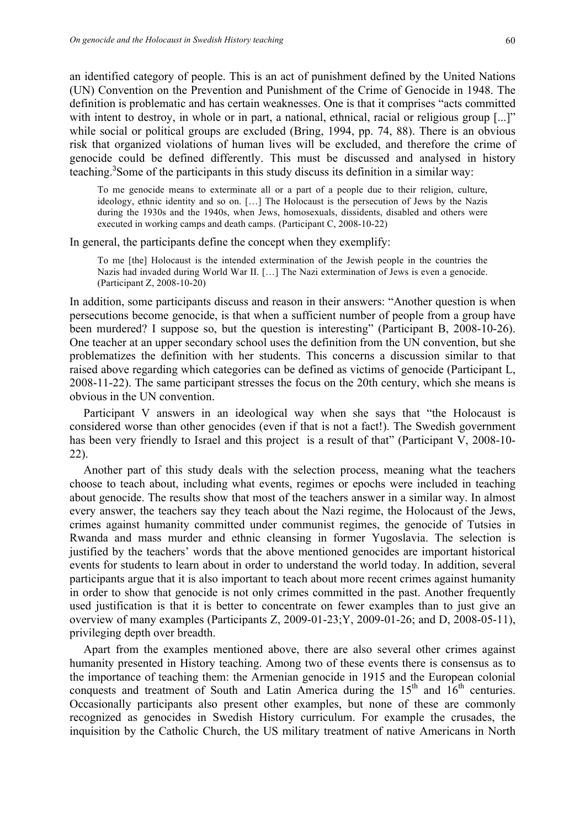an identified category of people. This is an act of punishment defined by the United Nations (UN) Convention on the Prevention and Punishment of the Crime of Genocide in 1948. The definition is problematic and has certain weaknesses. One is that it comprises "acts committed with intent to destroy, in whole or in part, a national, ethnical, racial or religious group [...]" while social or political groups are excluded (Bring, 1994, pp. 74, 88). There is an obvious risk that organized violations of human lives will be excluded, and therefore the crime of genocide could be defined differently. This must be discussed and analysed in history teaching.<sup>3</sup> Some of the participants in this study discuss its definition in a similar way:

To me genocide means to exterminate all or a part of a people due to their religion, culture, ideology, ethnic identity and so on. […] The Holocaust is the persecution of Jews by the Nazis during the 1930s and the 1940s, when Jews, homosexuals, dissidents, disabled and others were executed in working camps and death camps. (Participant C, 2008-10-22)

In general, the participants define the concept when they exemplify:

To me [the] Holocaust is the intended extermination of the Jewish people in the countries the Nazis had invaded during World War II. […] The Nazi extermination of Jews is even a genocide. (Participant Z, 2008-10-20)

In addition, some participants discuss and reason in their answers: "Another question is when persecutions become genocide, is that when a sufficient number of people from a group have been murdered? I suppose so, but the question is interesting" (Participant B, 2008-10-26). One teacher at an upper secondary school uses the definition from the UN convention, but she problematizes the definition with her students. This concerns a discussion similar to that raised above regarding which categories can be defined as victims of genocide (Participant L, 2008-11-22). The same participant stresses the focus on the 20th century, which she means is obvious in the UN convention.

Participant V answers in an ideological way when she says that "the Holocaust is considered worse than other genocides (even if that is not a fact!). The Swedish government has been very friendly to Israel and this project is a result of that" (Participant V, 2008-10- 22).

Another part of this study deals with the selection process, meaning what the teachers choose to teach about, including what events, regimes or epochs were included in teaching about genocide. The results show that most of the teachers answer in a similar way. In almost every answer, the teachers say they teach about the Nazi regime, the Holocaust of the Jews, crimes against humanity committed under communist regimes, the genocide of Tutsies in Rwanda and mass murder and ethnic cleansing in former Yugoslavia. The selection is justified by the teachers' words that the above mentioned genocides are important historical events for students to learn about in order to understand the world today. In addition, several participants argue that it is also important to teach about more recent crimes against humanity in order to show that genocide is not only crimes committed in the past. Another frequently used justification is that it is better to concentrate on fewer examples than to just give an overview of many examples (Participants Z, 2009-01-23;Y, 2009-01-26; and D, 2008-05-11), privileging depth over breadth.

Apart from the examples mentioned above, there are also several other crimes against humanity presented in History teaching. Among two of these events there is consensus as to the importance of teaching them: the Armenian genocide in 1915 and the European colonial conquests and treatment of South and Latin America during the  $15<sup>th</sup>$  and  $16<sup>th</sup>$  centuries. Occasionally participants also present other examples, but none of these are commonly recognized as genocides in Swedish History curriculum. For example the crusades, the inquisition by the Catholic Church, the US military treatment of native Americans in North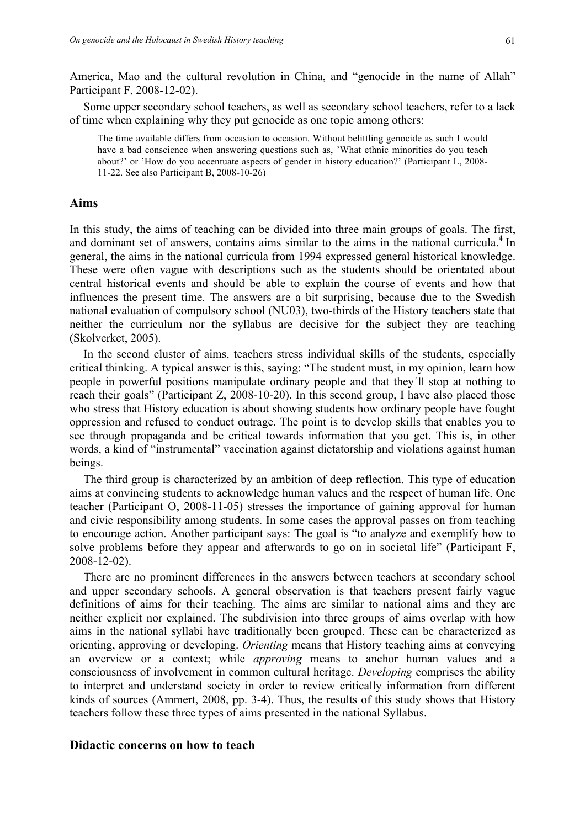America, Mao and the cultural revolution in China, and "genocide in the name of Allah" Participant F, 2008-12-02).

Some upper secondary school teachers, as well as secondary school teachers, refer to a lack of time when explaining why they put genocide as one topic among others:

The time available differs from occasion to occasion. Without belittling genocide as such I would have a bad conscience when answering questions such as, 'What ethnic minorities do you teach about?' or 'How do you accentuate aspects of gender in history education?' (Participant L, 2008- 11-22. See also Participant B, 2008-10-26)

# **Aims**

In this study, the aims of teaching can be divided into three main groups of goals. The first, and dominant set of answers, contains aims similar to the aims in the national curricula.<sup>4</sup> In general, the aims in the national curricula from 1994 expressed general historical knowledge. These were often vague with descriptions such as the students should be orientated about central historical events and should be able to explain the course of events and how that influences the present time. The answers are a bit surprising, because due to the Swedish national evaluation of compulsory school (NU03), two-thirds of the History teachers state that neither the curriculum nor the syllabus are decisive for the subject they are teaching (Skolverket, 2005).

In the second cluster of aims, teachers stress individual skills of the students, especially critical thinking. A typical answer is this, saying: "The student must, in my opinion, learn how people in powerful positions manipulate ordinary people and that they´ll stop at nothing to reach their goals" (Participant Z, 2008-10-20). In this second group, I have also placed those who stress that History education is about showing students how ordinary people have fought oppression and refused to conduct outrage. The point is to develop skills that enables you to see through propaganda and be critical towards information that you get. This is, in other words, a kind of "instrumental" vaccination against dictatorship and violations against human beings.

The third group is characterized by an ambition of deep reflection. This type of education aims at convincing students to acknowledge human values and the respect of human life. One teacher (Participant O, 2008-11-05) stresses the importance of gaining approval for human and civic responsibility among students. In some cases the approval passes on from teaching to encourage action. Another participant says: The goal is "to analyze and exemplify how to solve problems before they appear and afterwards to go on in societal life" (Participant F, 2008-12-02).

There are no prominent differences in the answers between teachers at secondary school and upper secondary schools. A general observation is that teachers present fairly vague definitions of aims for their teaching. The aims are similar to national aims and they are neither explicit nor explained. The subdivision into three groups of aims overlap with how aims in the national syllabi have traditionally been grouped. These can be characterized as orienting, approving or developing. *Orienting* means that History teaching aims at conveying an overview or a context; while *approving* means to anchor human values and a consciousness of involvement in common cultural heritage. *Developing* comprises the ability to interpret and understand society in order to review critically information from different kinds of sources (Ammert, 2008, pp. 3-4). Thus, the results of this study shows that History teachers follow these three types of aims presented in the national Syllabus.

#### **Didactic concerns on how to teach**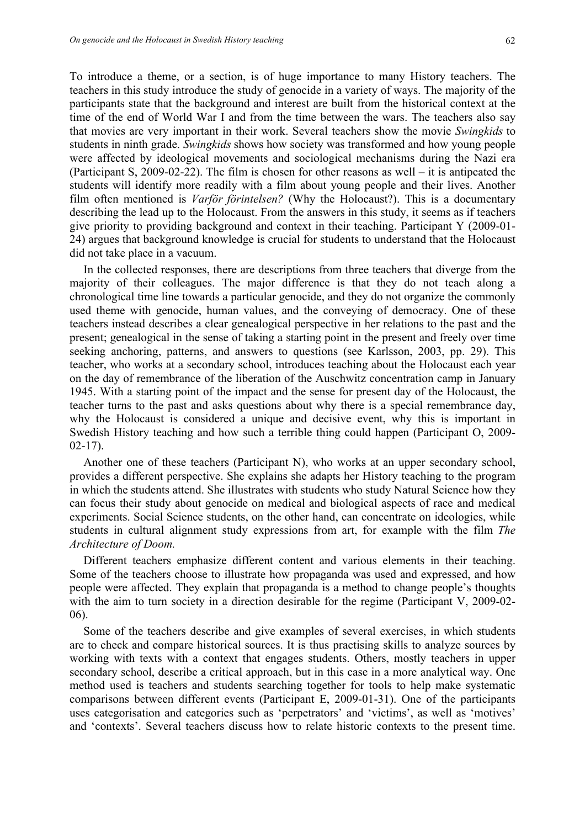To introduce a theme, or a section, is of huge importance to many History teachers. The teachers in this study introduce the study of genocide in a variety of ways. The majority of the participants state that the background and interest are built from the historical context at the time of the end of World War I and from the time between the wars. The teachers also say that movies are very important in their work. Several teachers show the movie *Swingkids* to students in ninth grade. *Swingkids* shows how society was transformed and how young people were affected by ideological movements and sociological mechanisms during the Nazi era (Participant S, 2009-02-22). The film is chosen for other reasons as well – it is antipcated the students will identify more readily with a film about young people and their lives. Another film often mentioned is *Varför förintelsen?* (Why the Holocaust?). This is a documentary describing the lead up to the Holocaust. From the answers in this study, it seems as if teachers give priority to providing background and context in their teaching. Participant Y (2009-01- 24) argues that background knowledge is crucial for students to understand that the Holocaust did not take place in a vacuum.

In the collected responses, there are descriptions from three teachers that diverge from the majority of their colleagues. The major difference is that they do not teach along a chronological time line towards a particular genocide, and they do not organize the commonly used theme with genocide, human values, and the conveying of democracy. One of these teachers instead describes a clear genealogical perspective in her relations to the past and the present; genealogical in the sense of taking a starting point in the present and freely over time seeking anchoring, patterns, and answers to questions (see Karlsson, 2003, pp. 29). This teacher, who works at a secondary school, introduces teaching about the Holocaust each year on the day of remembrance of the liberation of the Auschwitz concentration camp in January 1945. With a starting point of the impact and the sense for present day of the Holocaust, the teacher turns to the past and asks questions about why there is a special remembrance day, why the Holocaust is considered a unique and decisive event, why this is important in Swedish History teaching and how such a terrible thing could happen (Participant O, 2009- 02-17).

Another one of these teachers (Participant N), who works at an upper secondary school, provides a different perspective. She explains she adapts her History teaching to the program in which the students attend. She illustrates with students who study Natural Science how they can focus their study about genocide on medical and biological aspects of race and medical experiments. Social Science students, on the other hand, can concentrate on ideologies, while students in cultural alignment study expressions from art, for example with the film *The Architecture of Doom.*

Different teachers emphasize different content and various elements in their teaching. Some of the teachers choose to illustrate how propaganda was used and expressed, and how people were affected. They explain that propaganda is a method to change people's thoughts with the aim to turn society in a direction desirable for the regime (Participant V, 2009-02-06).

Some of the teachers describe and give examples of several exercises, in which students are to check and compare historical sources. It is thus practising skills to analyze sources by working with texts with a context that engages students. Others, mostly teachers in upper secondary school, describe a critical approach, but in this case in a more analytical way. One method used is teachers and students searching together for tools to help make systematic comparisons between different events (Participant E, 2009-01-31). One of the participants uses categorisation and categories such as 'perpetrators' and 'victims', as well as 'motives' and 'contexts'. Several teachers discuss how to relate historic contexts to the present time.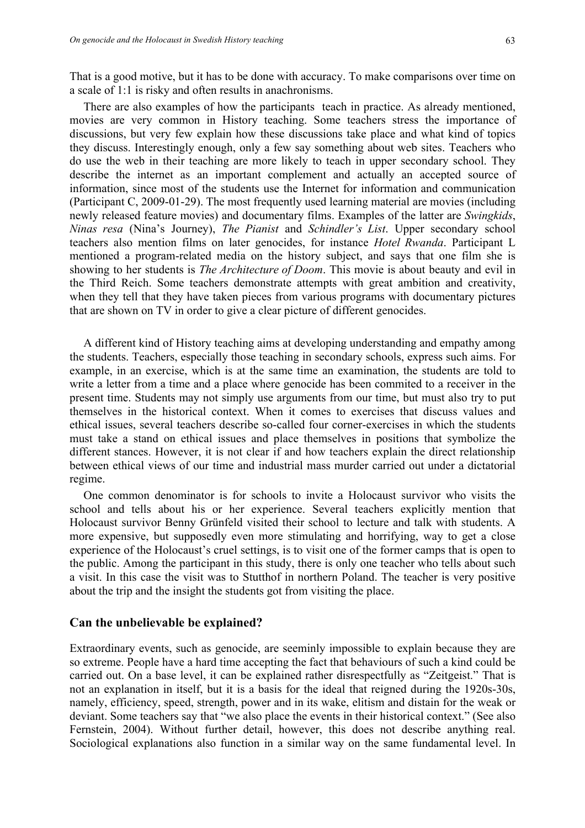That is a good motive, but it has to be done with accuracy. To make comparisons over time on a scale of 1:1 is risky and often results in anachronisms.

There are also examples of how the participants teach in practice. As already mentioned, movies are very common in History teaching. Some teachers stress the importance of discussions, but very few explain how these discussions take place and what kind of topics they discuss. Interestingly enough, only a few say something about web sites. Teachers who do use the web in their teaching are more likely to teach in upper secondary school. They describe the internet as an important complement and actually an accepted source of information, since most of the students use the Internet for information and communication (Participant C, 2009-01-29). The most frequently used learning material are movies (including newly released feature movies) and documentary films. Examples of the latter are *Swingkids*, *Ninas resa* (Nina's Journey), *The Pianist* and *Schindler's List*. Upper secondary school teachers also mention films on later genocides, for instance *Hotel Rwanda*. Participant L mentioned a program-related media on the history subject, and says that one film she is showing to her students is *The Architecture of Doom*. This movie is about beauty and evil in the Third Reich. Some teachers demonstrate attempts with great ambition and creativity, when they tell that they have taken pieces from various programs with documentary pictures that are shown on TV in order to give a clear picture of different genocides.

A different kind of History teaching aims at developing understanding and empathy among the students. Teachers, especially those teaching in secondary schools, express such aims. For example, in an exercise, which is at the same time an examination, the students are told to write a letter from a time and a place where genocide has been commited to a receiver in the present time. Students may not simply use arguments from our time, but must also try to put themselves in the historical context. When it comes to exercises that discuss values and ethical issues, several teachers describe so-called four corner-exercises in which the students must take a stand on ethical issues and place themselves in positions that symbolize the different stances. However, it is not clear if and how teachers explain the direct relationship between ethical views of our time and industrial mass murder carried out under a dictatorial regime.

One common denominator is for schools to invite a Holocaust survivor who visits the school and tells about his or her experience. Several teachers explicitly mention that Holocaust survivor Benny Grünfeld visited their school to lecture and talk with students. A more expensive, but supposedly even more stimulating and horrifying, way to get a close experience of the Holocaust's cruel settings, is to visit one of the former camps that is open to the public. Among the participant in this study, there is only one teacher who tells about such a visit. In this case the visit was to Stutthof in northern Poland. The teacher is very positive about the trip and the insight the students got from visiting the place.

### **Can the unbelievable be explained?**

Extraordinary events, such as genocide, are seeminly impossible to explain because they are so extreme. People have a hard time accepting the fact that behaviours of such a kind could be carried out. On a base level, it can be explained rather disrespectfully as "Zeitgeist." That is not an explanation in itself, but it is a basis for the ideal that reigned during the 1920s-30s, namely, efficiency, speed, strength, power and in its wake, elitism and distain for the weak or deviant. Some teachers say that "we also place the events in their historical context." (See also Fernstein, 2004). Without further detail, however, this does not describe anything real. Sociological explanations also function in a similar way on the same fundamental level. In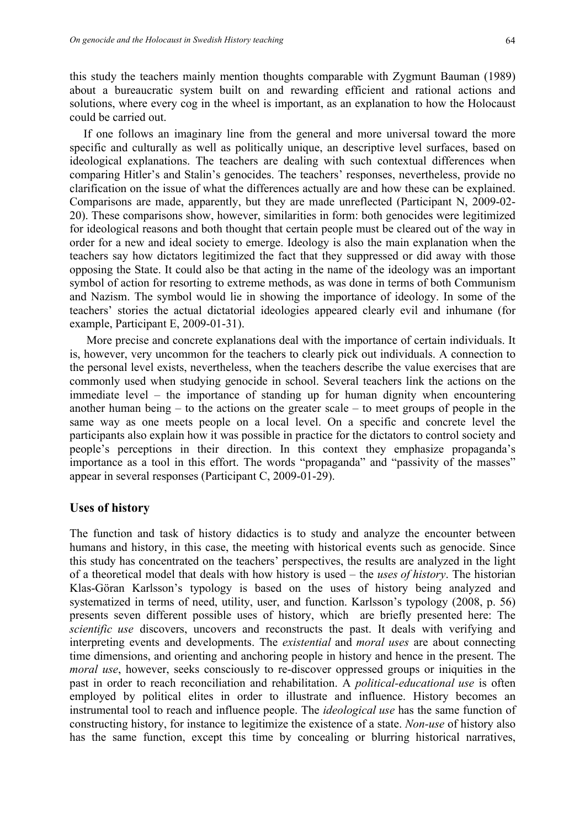this study the teachers mainly mention thoughts comparable with Zygmunt Bauman (1989) about a bureaucratic system built on and rewarding efficient and rational actions and solutions, where every cog in the wheel is important, as an explanation to how the Holocaust could be carried out.

If one follows an imaginary line from the general and more universal toward the more specific and culturally as well as politically unique, an descriptive level surfaces, based on ideological explanations. The teachers are dealing with such contextual differences when comparing Hitler's and Stalin's genocides. The teachers' responses, nevertheless, provide no clarification on the issue of what the differences actually are and how these can be explained. Comparisons are made, apparently, but they are made unreflected (Participant N, 2009-02- 20). These comparisons show, however, similarities in form: both genocides were legitimized for ideological reasons and both thought that certain people must be cleared out of the way in order for a new and ideal society to emerge. Ideology is also the main explanation when the teachers say how dictators legitimized the fact that they suppressed or did away with those opposing the State. It could also be that acting in the name of the ideology was an important symbol of action for resorting to extreme methods, as was done in terms of both Communism and Nazism. The symbol would lie in showing the importance of ideology. In some of the teachers' stories the actual dictatorial ideologies appeared clearly evil and inhumane (for example, Participant E, 2009-01-31).

More precise and concrete explanations deal with the importance of certain individuals. It is, however, very uncommon for the teachers to clearly pick out individuals. A connection to the personal level exists, nevertheless, when the teachers describe the value exercises that are commonly used when studying genocide in school. Several teachers link the actions on the immediate level – the importance of standing up for human dignity when encountering another human being – to the actions on the greater scale – to meet groups of people in the same way as one meets people on a local level. On a specific and concrete level the participants also explain how it was possible in practice for the dictators to control society and people's perceptions in their direction. In this context they emphasize propaganda's importance as a tool in this effort. The words "propaganda" and "passivity of the masses" appear in several responses (Participant C, 2009-01-29).

## **Uses of history**

The function and task of history didactics is to study and analyze the encounter between humans and history, in this case, the meeting with historical events such as genocide. Since this study has concentrated on the teachers' perspectives, the results are analyzed in the light of a theoretical model that deals with how history is used – the *uses of history*. The historian Klas-Göran Karlsson's typology is based on the uses of history being analyzed and systematized in terms of need, utility, user, and function. Karlsson's typology (2008, p. 56) presents seven different possible uses of history, which are briefly presented here: The *scientific use* discovers, uncovers and reconstructs the past. It deals with verifying and interpreting events and developments. The *existential* and *moral uses* are about connecting time dimensions, and orienting and anchoring people in history and hence in the present. The *moral use*, however, seeks consciously to re-discover oppressed groups or iniquities in the past in order to reach reconciliation and rehabilitation. A *political-educational use* is often employed by political elites in order to illustrate and influence. History becomes an instrumental tool to reach and influence people. The *ideological use* has the same function of constructing history, for instance to legitimize the existence of a state. *Non-use* of history also has the same function, except this time by concealing or blurring historical narratives,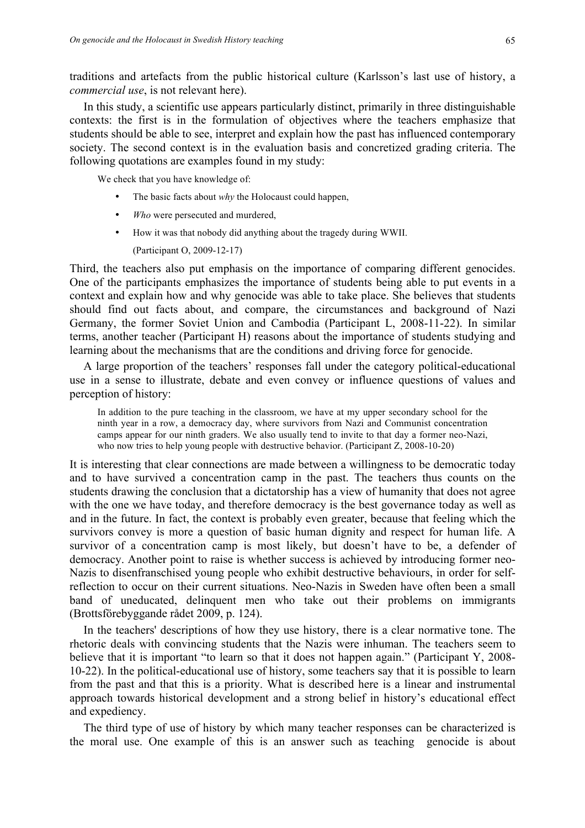traditions and artefacts from the public historical culture (Karlsson's last use of history, a *commercial use*, is not relevant here).

In this study, a scientific use appears particularly distinct, primarily in three distinguishable contexts: the first is in the formulation of objectives where the teachers emphasize that students should be able to see, interpret and explain how the past has influenced contemporary society. The second context is in the evaluation basis and concretized grading criteria. The following quotations are examples found in my study:

We check that you have knowledge of:

- The basic facts about *why* the Holocaust could happen,
- *Who* were persecuted and murdered,
- How it was that nobody did anything about the tragedy during WWII.

(Participant O, 2009-12-17)

Third, the teachers also put emphasis on the importance of comparing different genocides. One of the participants emphasizes the importance of students being able to put events in a context and explain how and why genocide was able to take place. She believes that students should find out facts about, and compare, the circumstances and background of Nazi Germany, the former Soviet Union and Cambodia (Participant L, 2008-11-22). In similar terms, another teacher (Participant H) reasons about the importance of students studying and learning about the mechanisms that are the conditions and driving force for genocide.

A large proportion of the teachers' responses fall under the category political-educational use in a sense to illustrate, debate and even convey or influence questions of values and perception of history:

In addition to the pure teaching in the classroom, we have at my upper secondary school for the ninth year in a row, a democracy day, where survivors from Nazi and Communist concentration camps appear for our ninth graders. We also usually tend to invite to that day a former neo-Nazi, who now tries to help young people with destructive behavior. (Participant Z, 2008-10-20)

It is interesting that clear connections are made between a willingness to be democratic today and to have survived a concentration camp in the past. The teachers thus counts on the students drawing the conclusion that a dictatorship has a view of humanity that does not agree with the one we have today, and therefore democracy is the best governance today as well as and in the future. In fact, the context is probably even greater, because that feeling which the survivors convey is more a question of basic human dignity and respect for human life. A survivor of a concentration camp is most likely, but doesn't have to be, a defender of democracy. Another point to raise is whether success is achieved by introducing former neo-Nazis to disenfranschised young people who exhibit destructive behaviours, in order for selfreflection to occur on their current situations. Neo-Nazis in Sweden have often been a small band of uneducated, delinquent men who take out their problems on immigrants (Brottsförebyggande rådet 2009, p. 124).

In the teachers' descriptions of how they use history, there is a clear normative tone. The rhetoric deals with convincing students that the Nazis were inhuman. The teachers seem to believe that it is important "to learn so that it does not happen again." (Participant Y, 2008- 10-22). In the political-educational use of history, some teachers say that it is possible to learn from the past and that this is a priority. What is described here is a linear and instrumental approach towards historical development and a strong belief in history's educational effect and expediency.

The third type of use of history by which many teacher responses can be characterized is the moral use. One example of this is an answer such as teaching genocide is about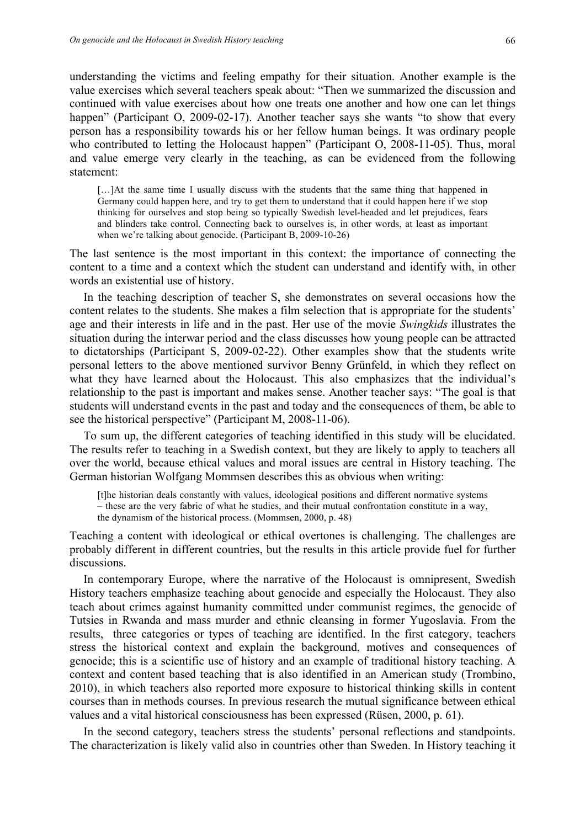understanding the victims and feeling empathy for their situation. Another example is the value exercises which several teachers speak about: "Then we summarized the discussion and continued with value exercises about how one treats one another and how one can let things happen" (Participant O, 2009-02-17). Another teacher says she wants "to show that every person has a responsibility towards his or her fellow human beings. It was ordinary people who contributed to letting the Holocaust happen" (Participant O, 2008-11-05). Thus, moral and value emerge very clearly in the teaching, as can be evidenced from the following statement:

[…]At the same time I usually discuss with the students that the same thing that happened in Germany could happen here, and try to get them to understand that it could happen here if we stop thinking for ourselves and stop being so typically Swedish level-headed and let prejudices, fears and blinders take control. Connecting back to ourselves is, in other words, at least as important when we're talking about genocide. (Participant B, 2009-10-26)

The last sentence is the most important in this context: the importance of connecting the content to a time and a context which the student can understand and identify with, in other words an existential use of history.

In the teaching description of teacher S, she demonstrates on several occasions how the content relates to the students. She makes a film selection that is appropriate for the students' age and their interests in life and in the past. Her use of the movie *Swingkids* illustrates the situation during the interwar period and the class discusses how young people can be attracted to dictatorships (Participant S, 2009-02-22). Other examples show that the students write personal letters to the above mentioned survivor Benny Grünfeld, in which they reflect on what they have learned about the Holocaust. This also emphasizes that the individual's relationship to the past is important and makes sense. Another teacher says: "The goal is that students will understand events in the past and today and the consequences of them, be able to see the historical perspective" (Participant M, 2008-11-06).

To sum up, the different categories of teaching identified in this study will be elucidated. The results refer to teaching in a Swedish context, but they are likely to apply to teachers all over the world, because ethical values and moral issues are central in History teaching. The German historian Wolfgang Mommsen describes this as obvious when writing:

[t]he historian deals constantly with values, ideological positions and different normative systems – these are the very fabric of what he studies, and their mutual confrontation constitute in a way, the dynamism of the historical process. (Mommsen, 2000, p. 48)

Teaching a content with ideological or ethical overtones is challenging. The challenges are probably different in different countries, but the results in this article provide fuel for further discussions.

In contemporary Europe, where the narrative of the Holocaust is omnipresent, Swedish History teachers emphasize teaching about genocide and especially the Holocaust. They also teach about crimes against humanity committed under communist regimes, the genocide of Tutsies in Rwanda and mass murder and ethnic cleansing in former Yugoslavia. From the results, three categories or types of teaching are identified. In the first category, teachers stress the historical context and explain the background, motives and consequences of genocide; this is a scientific use of history and an example of traditional history teaching. A context and content based teaching that is also identified in an American study (Trombino, 2010), in which teachers also reported more exposure to historical thinking skills in content courses than in methods courses. In previous research the mutual significance between ethical values and a vital historical consciousness has been expressed (Rüsen, 2000, p. 61).

In the second category, teachers stress the students' personal reflections and standpoints. The characterization is likely valid also in countries other than Sweden. In History teaching it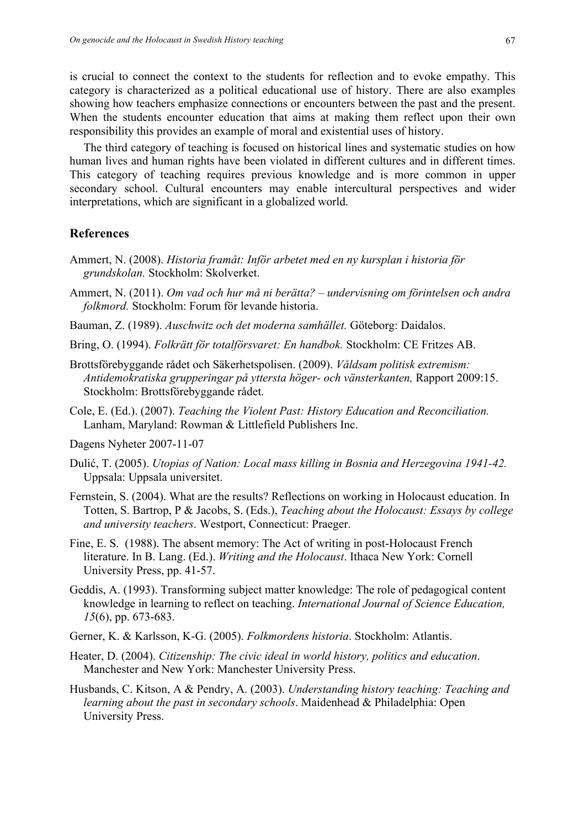is crucial to connect the context to the students for reflection and to evoke empathy. This category is characterized as a political educational use of history. There are also examples showing how teachers emphasize connections or encounters between the past and the present. When the students encounter education that aims at making them reflect upon their own responsibility this provides an example of moral and existential uses of history.

The third category of teaching is focused on historical lines and systematic studies on how human lives and human rights have been violated in different cultures and in different times. This category of teaching requires previous knowledge and is more common in upper secondary school. Cultural encounters may enable intercultural perspectives and wider interpretations, which are significant in a globalized world.

# **References**

- Ammert, N. (2008). *Historia framåt: Inför arbetet med en ny kursplan i historia för grundskolan.* Stockholm: Skolverket.
- Ammert, N. (2011). *Om vad och hur må ni berätta? – undervisning om förintelsen och andra folkmord.* Stockholm: Forum för levande historia.
- Bauman, Z. (1989). *Auschwitz och det moderna samhället.* Göteborg: Daidalos.
- Bring, O. (1994). *Folkrätt för totalförsvaret: En handbok.* Stockholm: CE Fritzes AB.
- Brottsförebyggande rådet och Säkerhetspolisen. (2009). *Våldsam politisk extremism: Antidemokratiska grupperingar på yttersta höger- och vänsterkanten,* Rapport 2009:15. Stockholm: Brottsförebyggande rådet.
- Cole, E. (Ed.). (2007). *Teaching the Violent Past: History Education and Reconciliation.* Lanham, Maryland: Rowman & Littlefield Publishers Inc.
- Dagens Nyheter 2007-11-07
- Dulić, T. (2005). *Utopias of Nation: Local mass killing in Bosnia and Herzegovina 1941-42.* Uppsala: Uppsala universitet.
- Fernstein, S. (2004). What are the results? Reflections on working in Holocaust education. In Totten, S. Bartrop, P & Jacobs, S. (Eds.), *Teaching about the Holocaust: Essays by college and university teachers*. Westport, Connecticut: Praeger.
- Fine, E. S. (1988). The absent memory: The Act of writing in post-Holocaust French literature. In B. Lang. (Ed.). *Writing and the Holocaust*. Ithaca New York: Cornell University Press, pp. 41-57.
- Geddis, A. (1993). Transforming subject matter knowledge: The role of pedagogical content knowledge in learning to reflect on teaching. *International Journal of Science Education, 15*(6), pp. 673-683.
- Gerner, K. & Karlsson, K-G. (2005). *Folkmordens historia*. Stockholm: Atlantis.
- Heater, D. (2004). *Citizenship: The civic ideal in world history, politics and education*. Manchester and New York: Manchester University Press.
- Husbands, C. Kitson, A & Pendry, A. (2003). *Understanding history teaching: Teaching and learning about the past in secondary schools*. Maidenhead & Philadelphia: Open University Press.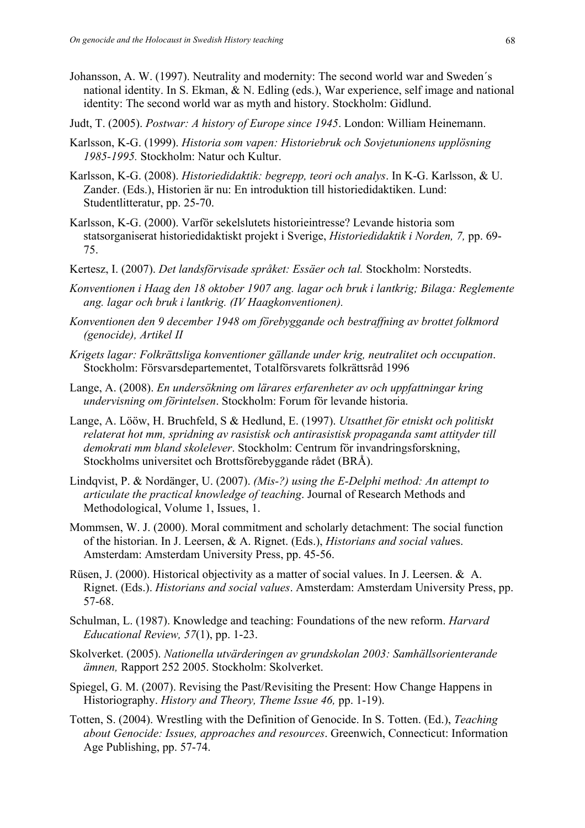- Johansson, A. W. (1997). Neutrality and modernity: The second world war and Sweden´s national identity. In S. Ekman, & N. Edling (eds.), War experience, self image and national identity: The second world war as myth and history. Stockholm: Gidlund.
- Judt, T. (2005). *Postwar: A history of Europe since 1945*. London: William Heinemann.
- Karlsson, K-G. (1999). *Historia som vapen: Historiebruk och Sovjetunionens upplösning 1985-1995.* Stockholm: Natur och Kultur.
- Karlsson, K-G. (2008). *Historiedidaktik: begrepp, teori och analys*. In K-G. Karlsson, & U. Zander. (Eds.), Historien är nu: En introduktion till historiedidaktiken. Lund: Studentlitteratur, pp. 25-70.
- Karlsson, K-G. (2000). Varför sekelslutets historieintresse? Levande historia som statsorganiserat historiedidaktiskt projekt i Sverige, *Historiedidaktik i Norden, 7,* pp. 69- 75.
- Kertesz, I. (2007). *Det landsförvisade språket: Essäer och tal.* Stockholm: Norstedts.
- *Konventionen i Haag den 18 oktober 1907 ang. lagar och bruk i lantkrig; Bilaga: Reglemente ang. lagar och bruk i lantkrig. (IV Haagkonventionen).*
- *Konventionen den 9 december 1948 om förebyggande och bestraffning av brottet folkmord (genocide), Artikel II*
- *Krigets lagar: Folkrättsliga konventioner gällande under krig, neutralitet och occupation*. Stockholm: Försvarsdepartementet, Totalförsvarets folkrättsråd 1996
- Lange, A. (2008). *En undersökning om lärares erfarenheter av och uppfattningar kring undervisning om förintelsen*. Stockholm: Forum för levande historia.
- Lange, A. Lööw, H. Bruchfeld, S & Hedlund, E. (1997). *Utsatthet för etniskt och politiskt relaterat hot mm, spridning av rasistisk och antirasistisk propaganda samt attityder till demokrati mm bland skolelever*. Stockholm: Centrum för invandringsforskning, Stockholms universitet och Brottsförebyggande rådet (BRÅ).
- Lindqvist, P. & Nordänger, U. (2007). *(Mis-?) using the E-Delphi method: An attempt to articulate the practical knowledge of teaching*. Journal of Research Methods and Methodological, Volume 1, Issues, 1.
- Mommsen, W. J. (2000). Moral commitment and scholarly detachment: The social function of the historian. In J. Leersen, & A. Rignet. (Eds.), *Historians and social valu*es. Amsterdam: Amsterdam University Press, pp. 45-56.
- Rüsen, J. (2000). Historical objectivity as a matter of social values. In J. Leersen. & A. Rignet. (Eds.). *Historians and social values*. Amsterdam: Amsterdam University Press, pp. 57-68.
- Schulman, L. (1987). Knowledge and teaching: Foundations of the new reform. *Harvard Educational Review, 57*(1), pp. 1-23.
- Skolverket. (2005). *Nationella utvärderingen av grundskolan 2003: Samhällsorienterande ämnen,* Rapport 252 2005. Stockholm: Skolverket.
- Spiegel, G. M. (2007). Revising the Past/Revisiting the Present: How Change Happens in Historiography. *History and Theory, Theme Issue 46,* pp. 1-19).
- Totten, S. (2004). Wrestling with the Definition of Genocide. In S. Totten. (Ed.), *Teaching about Genocide: Issues, approaches and resources*. Greenwich, Connecticut: Information Age Publishing, pp. 57-74.